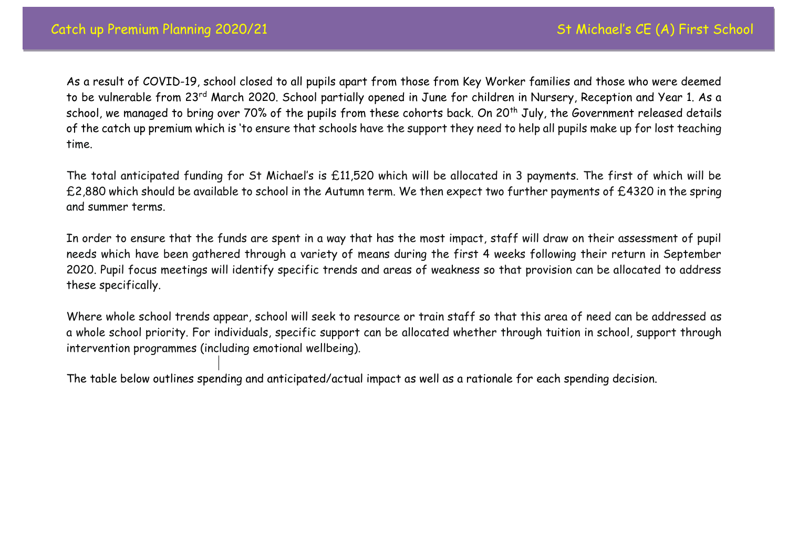As a result of COVID-19, school closed to all pupils apart from those from Key Worker families and those who were deemed to be vulnerable from 23<sup>rd</sup> March 2020. School partially opened in June for children in Nursery, Reception and Year 1. As a school, we managed to bring over 70% of the pupils from these cohorts back. On 20<sup>th</sup> July, the Government released details of the catch up premium which is 'to ensure that schools have the support they need to help all pupils make up for lost teaching time.

The total anticipated funding for St Michael's is £11,520 which will be allocated in 3 payments. The first of which will be £2,880 which should be available to school in the Autumn term. We then expect two further payments of £4320 in the spring and summer terms.

In order to ensure that the funds are spent in a way that has the most impact, staff will draw on their assessment of pupil needs which have been gathered through a variety of means during the first 4 weeks following their return in September 2020. Pupil focus meetings will identify specific trends and areas of weakness so that provision can be allocated to address these specifically.

Where whole school trends appear, school will seek to resource or train staff so that this area of need can be addressed as a whole school priority. For individuals, specific support can be allocated whether through tuition in school, support through intervention programmes (including emotional wellbeing).

The table below outlines spending and anticipated/actual impact as well as a rationale for each spending decision.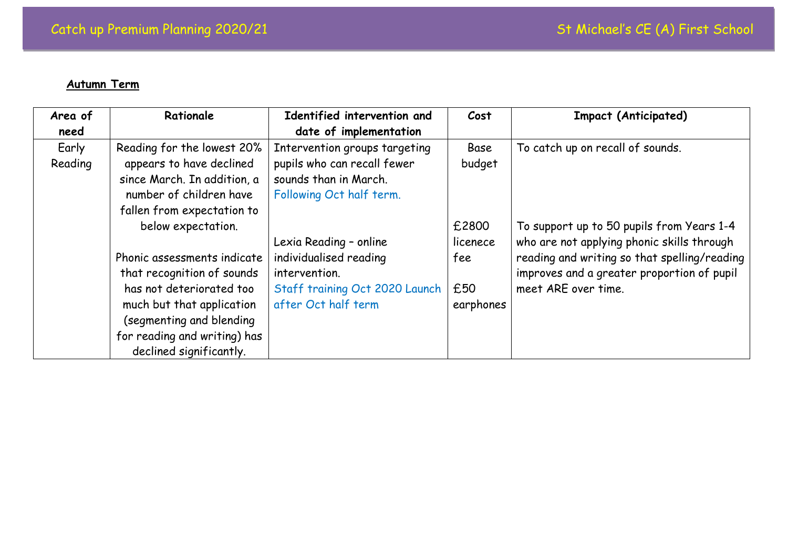## **Autumn Term**

| Area of | Rationale                    | Identified intervention and    | Cost      | <b>Impact (Anticipated)</b>                  |
|---------|------------------------------|--------------------------------|-----------|----------------------------------------------|
| need    |                              | date of implementation         |           |                                              |
| Early   | Reading for the lowest 20%   | Intervention groups targeting  | Base      | To catch up on recall of sounds.             |
| Reading | appears to have declined     | pupils who can recall fewer    | budget    |                                              |
|         | since March. In addition, a  | sounds than in March.          |           |                                              |
|         | number of children have      | Following Oct half term.       |           |                                              |
|         | fallen from expectation to   |                                |           |                                              |
|         | below expectation.           |                                | £2800     | To support up to 50 pupils from Years 1-4    |
|         |                              | Lexia Reading - online         | licenece  | who are not applying phonic skills through   |
|         | Phonic assessments indicate  | individualised reading         | fee       | reading and writing so that spelling/reading |
|         | that recognition of sounds   | intervention.                  |           | improves and a greater proportion of pupil   |
|         | has not deteriorated too     | Staff training Oct 2020 Launch | £50       | meet ARE over time.                          |
|         | much but that application    | after Oct half term            | earphones |                                              |
|         | (segmenting and blending     |                                |           |                                              |
|         | for reading and writing) has |                                |           |                                              |
|         | declined significantly.      |                                |           |                                              |